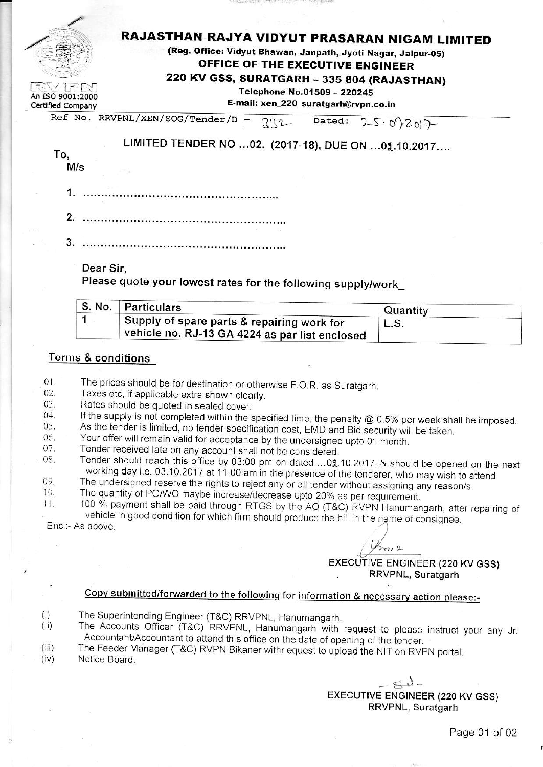## RAJASTHAN RAJYA VIDYUT PRASARAN NIGAM LIMITED

(Reg. Office: Vidyut Bhawan, Janpath, Jyoti Nagar, Jaipur-05) OFFICE OF THE EXECUTIVE ENGINEER

220 KV GSS, SURATGARH - 335 804 (RAJASTHAN)

Telephone No.01509 - 220245

E-mail: xen\_220\_suratgarh@rvpn.co.in

Certified Company Ref No. RRVPNL/XEN/SOG/Tender/D - $712$  Dated:  $25.09201$ 

LIMITED TENDER NO ...02. (2017-18), DUE ON ...01.10.2017....

To.

 $\sqrt{2}$ 

An ISO 9001:2000

 $M/s$ 

- 
- 
- 

Dear Sir.

Please quote your lowest rates for the following supply/work

| ∣ S. No. ∣ Particulars                                                                           | Quantity |  |
|--------------------------------------------------------------------------------------------------|----------|--|
| ∣ Supply of spare parts & repairing work for<br>⊣ vehicle no. RJ-13 GA 4224 as par list enclosed | L.S.     |  |

#### **Terms & conditions**

 $01.$ The prices should be for destination or otherwise F.O.R. as Suratgarh.

 $02.$ Taxes etc, if applicable extra shown clearly.

03. Rates should be quoted in sealed cover.

If the supply is not completed within the specified time, the penalty  $@$  0.5% per week shall be imposed. 04. 05.

As the tender is limited, no tender specification cost, EMD and Bid security will be taken.

- Your offer will remain valid for acceptance by the undersigned upto 01 month. 06.
- 07. Tender received late on any account shall not be considered.
- Tender should reach this office by 03:00 pm on dated ...01.10.2017..& should be opened on the next 08. working day i.e. 03.10.2017 at 11.00 am in the presence of the tenderer, who may wish to attend.
- The undersigned reserve the rights to reject any or all tender without assigning any reason/s. 09.  $10.$
- The quantity of PO/WO maybe increase/decrease upto 20% as per requirement.

100 % payment shall be paid through RTGS by the AO (T&C) RVPN Hanumangarh, after repairing of  $11.$ vehicle in good condition for which firm should produce the bill in the name of consignee. Encl:- As above.

 $m12$ EXECUTIVE ENGINEER (220 KV GSS) RRVPNL, Suratgarh

## Copy submitted/forwarded to the following for information & necessary action please:-

- $(i)$ The Superintending Engineer (T&C) RRVPNL, Hanumangarh.
- The Accounts Officer (T&C) RRVPNL, Hanumangarh with request to please instruct your any Jr.  $(ii)$ Accountant/Accountant to attend this office on the date of opening of the tender.
- The Feeder Manager (T&C) RVPN Bikaner withr equest to upload the NIT on RVPN portal.  $(iii)$
- Notice Board.  $(iv)$

 $-54-$ **EXECUTIVE ENGINEER (220 KV GSS)** RRVPNL, Suratgarh